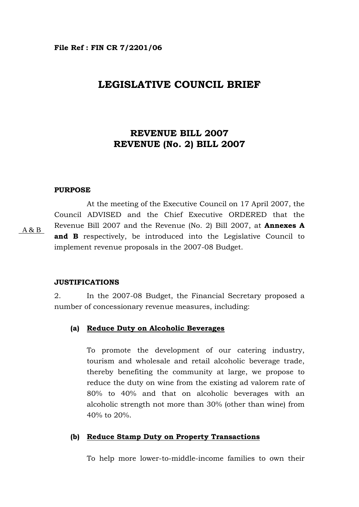# **LEGISLATIVE COUNCIL BRIEF**

# **REVENUE BILL 2007 REVENUE (No. 2) BILL 2007**

### **PURPOSE**

 At the meeting of the Executive Council on 17 April 2007, the Council ADVISED and the Chief Executive ORDERED that the Revenue Bill 2007 and the Revenue (No. 2) Bill 2007, at **Annexes A and B** respectively, be introduced into the Legislative Council to implement revenue proposals in the 2007-08 Budget. A & B

#### **JUSTIFICATIONS**

2. In the 2007-08 Budget, the Financial Secretary proposed a number of concessionary revenue measures, including:

## **(a) Reduce Duty on Alcoholic Beverages**

To promote the development of our catering industry, tourism and wholesale and retail alcoholic beverage trade, thereby benefiting the community at large, we propose to reduce the duty on wine from the existing ad valorem rate of 80% to 40% and that on alcoholic beverages with an alcoholic strength not more than 30% (other than wine) from 40% to 20%.

## **(b) Reduce Stamp Duty on Property Transactions**

To help more lower-to-middle-income families to own their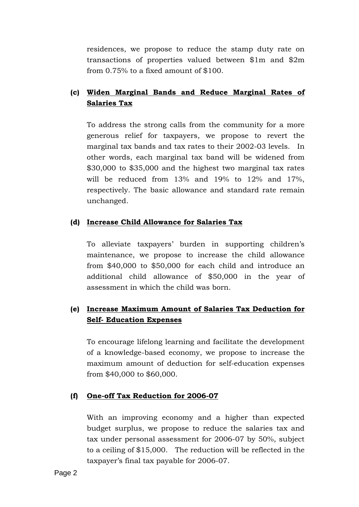residences, we propose to reduce the stamp duty rate on transactions of properties valued between \$1m and \$2m from 0.75% to a fixed amount of \$100.

# **(c) Widen Marginal Bands and Reduce Marginal Rates of Salaries Tax**

To address the strong calls from the community for a more generous relief for taxpayers, we propose to revert the marginal tax bands and tax rates to their 2002-03 levels. In other words, each marginal tax band will be widened from \$30,000 to \$35,000 and the highest two marginal tax rates will be reduced from 13% and 19% to 12% and 17%, respectively. The basic allowance and standard rate remain unchanged.

## **(d) Increase Child Allowance for Salaries Tax**

To alleviate taxpayers' burden in supporting children's maintenance, we propose to increase the child allowance from \$40,000 to \$50,000 for each child and introduce an additional child allowance of \$50,000 in the year of assessment in which the child was born.

## **(e) Increase Maximum Amount of Salaries Tax Deduction for Self- Education Expenses**

To encourage lifelong learning and facilitate the development of a knowledge-based economy, we propose to increase the maximum amount of deduction for self-education expenses from \$40,000 to \$60,000.

## **(f) One-off Tax Reduction for 2006-07**

With an improving economy and a higher than expected budget surplus, we propose to reduce the salaries tax and tax under personal assessment for 2006-07 by 50%, subject to a ceiling of \$15,000. The reduction will be reflected in the taxpayer's final tax payable for 2006-07.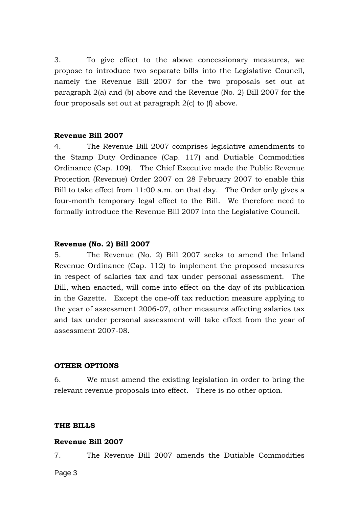3. To give effect to the above concessionary measures, we propose to introduce two separate bills into the Legislative Council, namely the Revenue Bill 2007 for the two proposals set out at paragraph 2(a) and (b) above and the Revenue (No. 2) Bill 2007 for the four proposals set out at paragraph 2(c) to (f) above.

## **Revenue Bill 2007**

4. The Revenue Bill 2007 comprises legislative amendments to the Stamp Duty Ordinance (Cap. 117) and Dutiable Commodities Ordinance (Cap. 109). The Chief Executive made the Public Revenue Protection (Revenue) Order 2007 on 28 February 2007 to enable this Bill to take effect from 11:00 a.m. on that day. The Order only gives a four-month temporary legal effect to the Bill. We therefore need to formally introduce the Revenue Bill 2007 into the Legislative Council.

### **Revenue (No. 2) Bill 2007**

5. The Revenue (No. 2) Bill 2007 seeks to amend the Inland Revenue Ordinance (Cap. 112) to implement the proposed measures in respect of salaries tax and tax under personal assessment. The Bill, when enacted, will come into effect on the day of its publication in the Gazette. Except the one-off tax reduction measure applying to the year of assessment 2006-07, other measures affecting salaries tax and tax under personal assessment will take effect from the year of assessment 2007-08.

## **OTHER OPTIONS**

6. We must amend the existing legislation in order to bring the relevant revenue proposals into effect. There is no other option.

## **THE BILLS**

### **Revenue Bill 2007**

7. The Revenue Bill 2007 amends the Dutiable Commodities

Page 3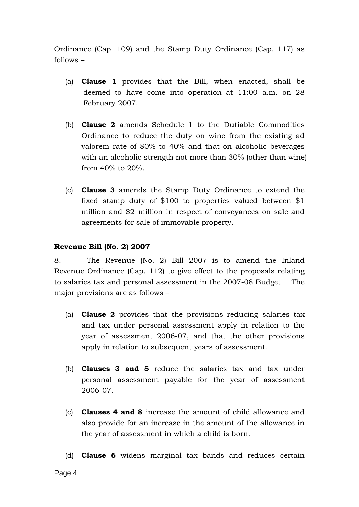Ordinance (Cap. 109) and the Stamp Duty Ordinance (Cap. 117) as follows –

- (a) **Clause 1** provides that the Bill, when enacted, shall be deemed to have come into operation at 11:00 a.m. on 28 February 2007.
- (b) **Clause 2** amends Schedule 1 to the Dutiable Commodities Ordinance to reduce the duty on wine from the existing ad valorem rate of 80% to 40% and that on alcoholic beverages with an alcoholic strength not more than 30% (other than wine) from 40% to 20%.
- (c) **Clause 3** amends the Stamp Duty Ordinance to extend the fixed stamp duty of \$100 to properties valued between \$1 million and \$2 million in respect of conveyances on sale and agreements for sale of immovable property.

## **Revenue Bill (No. 2) 2007**

8. The Revenue (No. 2) Bill 2007 is to amend the Inland Revenue Ordinance (Cap. 112) to give effect to the proposals relating to salaries tax and personal assessment in the 2007-08 Budget The major provisions are as follows –

- (a) **Clause 2** provides that the provisions reducing salaries tax and tax under personal assessment apply in relation to the year of assessment 2006-07, and that the other provisions apply in relation to subsequent years of assessment.
- (b) **Clauses 3 and 5** reduce the salaries tax and tax under personal assessment payable for the year of assessment 2006-07.
- (c) **Clauses 4 and 8** increase the amount of child allowance and also provide for an increase in the amount of the allowance in the year of assessment in which a child is born.
- (d) **Clause 6** widens marginal tax bands and reduces certain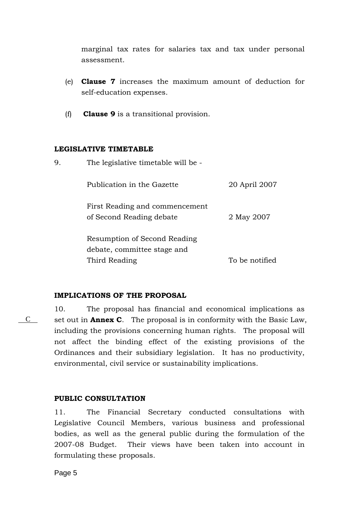marginal tax rates for salaries tax and tax under personal assessment.

- (e) **Clause 7** increases the maximum amount of deduction for self-education expenses.
- (f) **Clause 9** is a transitional provision.

## **LEGISLATIVE TIMETABLE**

| 9. | The legislative timetable will be -                         |                |
|----|-------------------------------------------------------------|----------------|
|    | Publication in the Gazette                                  | 20 April 2007  |
|    | First Reading and commencement<br>of Second Reading debate  | 2 May 2007     |
|    | Resumption of Second Reading<br>debate, committee stage and |                |
|    | Third Reading                                               | To be notified |

## **IMPLICATIONS OF THE PROPOSAL**

10. The proposal has financial and economical implications as set out in **Annex C**. The proposal is in conformity with the Basic Law, including the provisions concerning human rights. The proposal will not affect the binding effect of the existing provisions of the Ordinances and their subsidiary legislation. It has no productivity, environmental, civil service or sustainability implications.

## **PUBLIC CONSULTATION**

11. The Financial Secretary conducted consultations with Legislative Council Members, various business and professional bodies, as well as the general public during the formulation of the 2007-08 Budget. Their views have been taken into account in formulating these proposals.

Page 5

C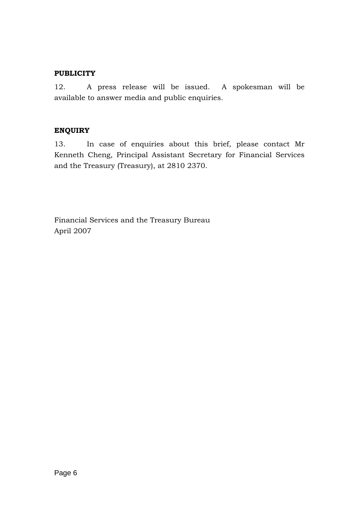## **PUBLICITY**

12. A press release will be issued. A spokesman will be available to answer media and public enquiries.

## **ENQUIRY**

13. In case of enquiries about this brief, please contact Mr Kenneth Cheng, Principal Assistant Secretary for Financial Services and the Treasury (Treasury), at 2810 2370.

Financial Services and the Treasury Bureau April 2007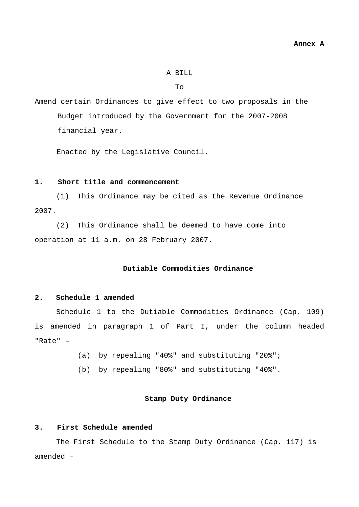#### A BILL

To

Amend certain Ordinances to give effect to two proposals in the Budget introduced by the Government for the 2007-2008 financial year.

Enacted by the Legislative Council.

## **1. Short title and commencement**

(1) This Ordinance may be cited as the Revenue Ordinance 2007.

(2) This Ordinance shall be deemed to have come into operation at 11 a.m. on 28 February 2007.

#### **Dutiable Commodities Ordinance**

#### **2. Schedule 1 amended**

Schedule 1 to the Dutiable Commodities Ordinance (Cap. 109) is amended in paragraph 1 of Part I, under the column headed "Rate" –

(a) by repealing "40%" and substituting "20%";

(b) by repealing "80%" and substituting "40%".

#### **Stamp Duty Ordinance**

#### **3. First Schedule amended**

The First Schedule to the Stamp Duty Ordinance (Cap. 117) is amended –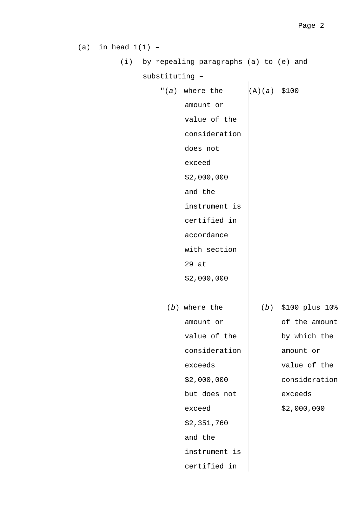(a) in head  $1(1)$  - (i) by repealing paragraphs (a) to (e) and substituting – "(*a*) where the amount or value of the consideration does not exceed \$2,000,000 and the instrument is certified in accordance with section 29 at \$2,000,000 (A)(*a*) \$100 (*b*) where the amount or value of the consideration exceeds \$2,000,000 but does not exceed \$2,351,760 and the instrument is certified in (*b*) \$100 plus 10% of the amount by which the amount or value of the consideration exceeds \$2,000,000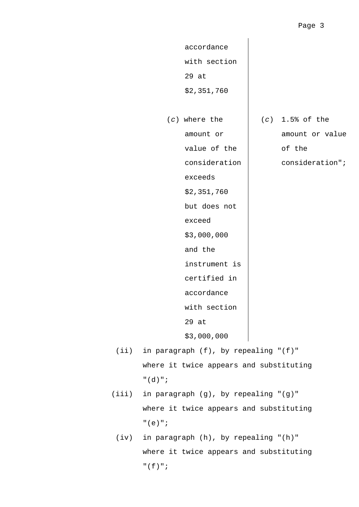accordance with section 29 at \$2,351,760 (*c*) where the amount or value of the consideration exceeds \$2,351,760 but does not exceed \$3,000,000 and the instrument is certified in accordance with section 29 at \$3,000,000 (*c*) 1.5% of the amount or value of the consideration";

- (ii) in paragraph (f), by repealing "(f)" where it twice appears and substituting "(d)";
- (iii) in paragraph (g), by repealing "(g)" where it twice appears and substituting "(e)";
	- (iv) in paragraph (h), by repealing "(h)" where it twice appears and substituting "(f)";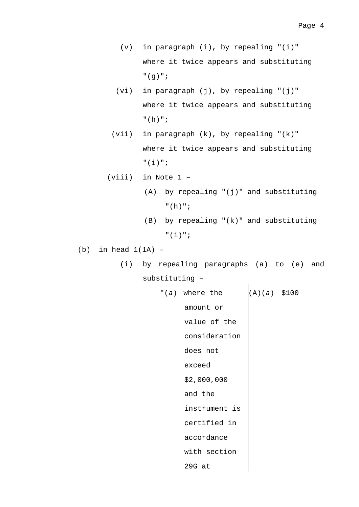- (v) in paragraph (i), by repealing "(i)" where it twice appears and substituting "(g)";
- $(vi)$  in paragraph  $(j)$ , by repealing " $(j)$ " where it twice appears and substituting "(h)";
- (vii) in paragraph (k), by repealing "(k)" where it twice appears and substituting "(i)";
- (viii) in Note 1
	- (A) by repealing "(j)" and substituting "(h)";
	- (B) by repealing "(k)" and substituting "(i)";
- $(b)$  in head  $1(1A)$  -
	- (i) by repealing paragraphs (a) to (e) and substituting –
		- "(*a*) where the amount or value of the consideration does not exceed \$2,000,000 and the instrument is certified in accordance with section 29G at (A)(*a*) \$100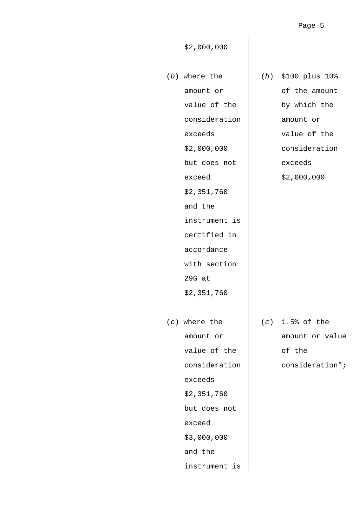\$2,000,000

- (*b*) where the amount or value of the consideration exceeds \$2,000,000 but does not exceed \$2,351,760 and the instrument is certified in accordance with section 29G at \$2,351,760 (*c*) where the amount or value of the consideration exceeds \$2,351,760 but does not exceed \$3,000,000 and the instrument is
- (*b*) \$100 plus 10% of the amount by which the amount or value of the consideration exceeds \$2,000,000

 (*c*) 1.5% of the amount or value of the consideration";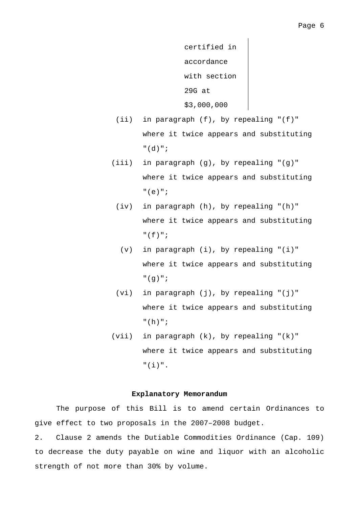certified in accordance with section 29G at \$3,000,000

- (ii) in paragraph (f), by repealing "(f)" where it twice appears and substituting "(d)";
- (iii) in paragraph (g), by repealing "(g)" where it twice appears and substituting "(e)";
	- (iv) in paragraph (h), by repealing "(h)" where it twice appears and substituting "(f)";
		- (v) in paragraph (i), by repealing "(i)" where it twice appears and substituting "(g)";
	- $(vi)$  in paragraph  $(j)$ , by repealing " $(j)$ " where it twice appears and substituting "(h)";
- (vii) in paragraph (k), by repealing "(k)" where it twice appears and substituting "(i)".

### **Explanatory Memorandum**

The purpose of this Bill is to amend certain Ordinances to give effect to two proposals in the 2007–2008 budget.

2. Clause 2 amends the Dutiable Commodities Ordinance (Cap. 109) to decrease the duty payable on wine and liquor with an alcoholic strength of not more than 30% by volume.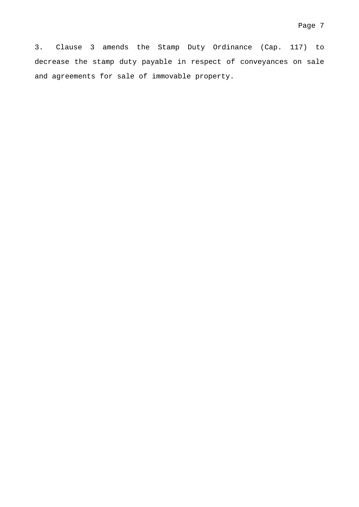3. Clause 3 amends the Stamp Duty Ordinance (Cap. 117) to decrease the stamp duty payable in respect of conveyances on sale and agreements for sale of immovable property.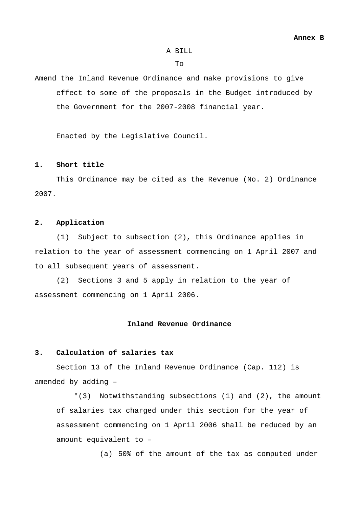#### A BILL

 $To$ 

Amend the Inland Revenue Ordinance and make provisions to give effect to some of the proposals in the Budget introduced by the Government for the 2007-2008 financial year.

Enacted by the Legislative Council.

#### **1. Short title**

 This Ordinance may be cited as the Revenue (No. 2) Ordinance 2007.

#### **2. Application**

 (1) Subject to subsection (2), this Ordinance applies in relation to the year of assessment commencing on 1 April 2007 and to all subsequent years of assessment.

(2) Sections 3 and 5 apply in relation to the year of assessment commencing on 1 April 2006.

#### **Inland Revenue Ordinance**

#### **3. Calculation of salaries tax**

Section 13 of the Inland Revenue Ordinance (Cap. 112) is amended by adding –

"(3) Notwithstanding subsections (1) and (2), the amount of salaries tax charged under this section for the year of assessment commencing on 1 April 2006 shall be reduced by an amount equivalent to –

(a) 50% of the amount of the tax as computed under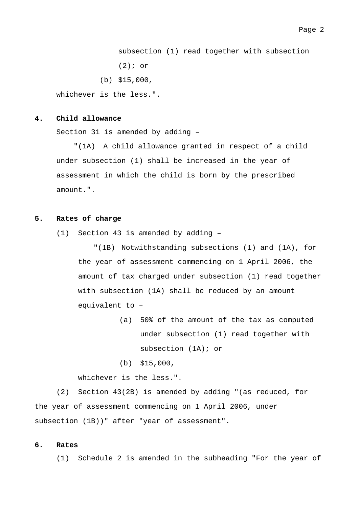subsection (1) read together with subsection (2); or

(b) \$15,000,

whichever is the less.".

#### **4. Child allowance**

Section 31 is amended by adding –

"(1A) A child allowance granted in respect of a child under subsection (1) shall be increased in the year of assessment in which the child is born by the prescribed amount.".

#### **5. Rates of charge**

(1) Section 43 is amended by adding –

"(1B) Notwithstanding subsections (1) and (1A), for the year of assessment commencing on 1 April 2006, the amount of tax charged under subsection (1) read together with subsection (1A) shall be reduced by an amount equivalent to –

- (a) 50% of the amount of the tax as computed under subsection (1) read together with subsection (1A); or
- (b) \$15,000,

whichever is the less.".

 (2) Section 43(2B) is amended by adding "(as reduced, for the year of assessment commencing on 1 April 2006, under subsection (1B))" after "year of assessment".

## **6. Rates**

(1) Schedule 2 is amended in the subheading "For the year of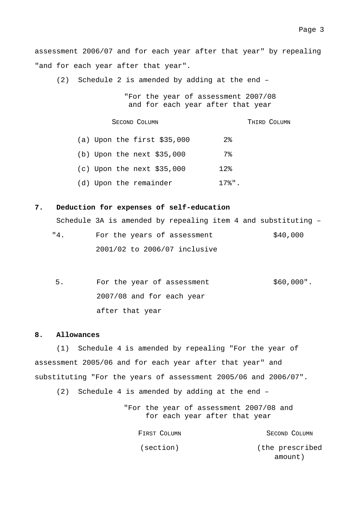assessment 2006/07 and for each year after that year" by repealing "and for each year after that year".

(2) Schedule 2 is amended by adding at the end –

"For the year of assessment 2007/08 and for each year after that year

SECOND COLUMN THIRD COLUMN

(a) Upon the first \$35,000 2% (b) Upon the next \$35,000 7% (c) Upon the next \$35,000 12% (d) Upon the remainder 17%".

#### **7. Deduction for expenses of self-education**

Schedule 3A is amended by repealing item 4 and substituting –

| "4. | For the years of assessment  | \$40,000 |
|-----|------------------------------|----------|
|     | 2001/02 to 2006/07 inclusive |          |

5. For the year of assessment 2007/08 and for each year after that year \$60,000".

#### **8. Allowances**

(1) Schedule 4 is amended by repealing "For the year of assessment 2005/06 and for each year after that year" and substituting "For the years of assessment 2005/06 and 2006/07".

(2) Schedule 4 is amended by adding at the end –

"For the year of assessment 2007/08 and for each year after that year

FIRST COLUMN (section) SECOND COLUMN (the prescribed amount)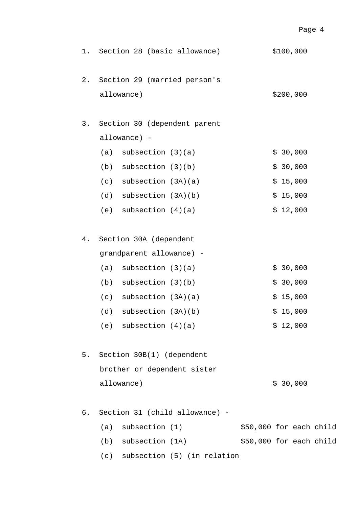| 1.    | Section 28 (basic allowance)               | \$100,000               |
|-------|--------------------------------------------|-------------------------|
| $2$ . | Section 29 (married person's<br>allowance) | \$200,000               |
|       |                                            |                         |
| 3.    | Section 30 (dependent parent               |                         |
|       | allowance) -                               |                         |
|       | subsection $(3)(a)$<br>(a)                 | \$30,000                |
|       | subsection $(3)(b)$<br>(b)                 | \$30,000                |
|       | subsection (3A)(a)<br>(c)                  | \$15,000                |
|       | (d)<br>subsection (3A)(b)                  | \$15,000                |
|       | (e) subsection $(4)(a)$                    | \$12,000                |
| 4.    | Section 30A (dependent                     |                         |
|       | grandparent allowance) -                   |                         |
|       | subsection $(3)(a)$<br>(a)                 | \$30,000                |
|       | subsection $(3)(b)$<br>(b)                 | \$30,000                |
|       | $(c)$ subsection $(3A)(a)$                 | \$15,000                |
|       | $(d)$ subsection $(3A)(b)$                 | \$15,000                |
|       | (e) subsection $(4)(a)$                    | \$12,000                |
| 5.    | Section 30B(1) (dependent                  |                         |
|       | brother or dependent sister                |                         |
|       | allowance)                                 | \$30,000                |
| б.    | Section 31 (child allowance) -             |                         |
|       | $(a)$ subsection $(1)$                     | \$50,000 for each child |
|       | (b)<br>subsection (1A)                     | \$50,000 for each child |

(c) subsection (5) (in relation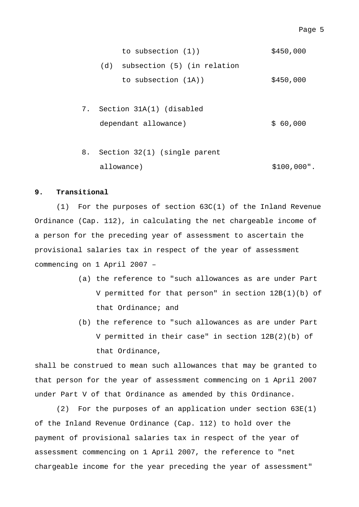| to subsection $(1)$ )           | \$450,000 |
|---------------------------------|-----------|
| (d) subsection (5) (in relation |           |
| to subsection (1A))             | \$450,000 |

- 7. Section 31A(1) (disabled dependant allowance)  $$60,000$
- 8. Section 32(1) (single parent allowance) \$100,000".

#### **9. Transitional**

(1) For the purposes of section 63C(1) of the Inland Revenue Ordinance (Cap. 112), in calculating the net chargeable income of a person for the preceding year of assessment to ascertain the provisional salaries tax in respect of the year of assessment commencing on 1 April 2007 –

- (a) the reference to "such allowances as are under Part V permitted for that person" in section 12B(1)(b) of that Ordinance; and
- (b) the reference to "such allowances as are under Part V permitted in their case" in section 12B(2)(b) of that Ordinance,

shall be construed to mean such allowances that may be granted to that person for the year of assessment commencing on 1 April 2007 under Part V of that Ordinance as amended by this Ordinance.

(2) For the purposes of an application under section 63E(1) of the Inland Revenue Ordinance (Cap. 112) to hold over the payment of provisional salaries tax in respect of the year of assessment commencing on 1 April 2007, the reference to "net chargeable income for the year preceding the year of assessment"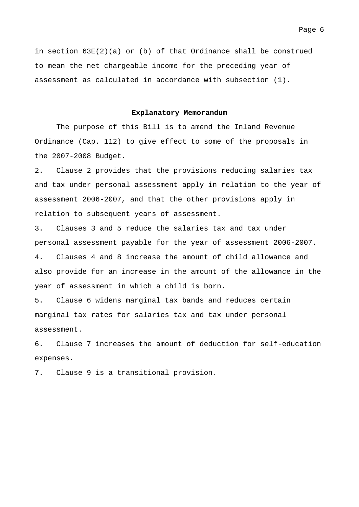in section 63E(2)(a) or (b) of that Ordinance shall be construed to mean the net chargeable income for the preceding year of assessment as calculated in accordance with subsection (1).

#### **Explanatory Memorandum**

The purpose of this Bill is to amend the Inland Revenue Ordinance (Cap. 112) to give effect to some of the proposals in the 2007-2008 Budget.

2. Clause 2 provides that the provisions reducing salaries tax and tax under personal assessment apply in relation to the year of assessment 2006-2007, and that the other provisions apply in relation to subsequent years of assessment.

3. Clauses 3 and 5 reduce the salaries tax and tax under personal assessment payable for the year of assessment 2006-2007. 4. Clauses 4 and 8 increase the amount of child allowance and also provide for an increase in the amount of the allowance in the year of assessment in which a child is born.

5. Clause 6 widens marginal tax bands and reduces certain marginal tax rates for salaries tax and tax under personal assessment.

6. Clause 7 increases the amount of deduction for self-education expenses.

7. Clause 9 is a transitional provision.